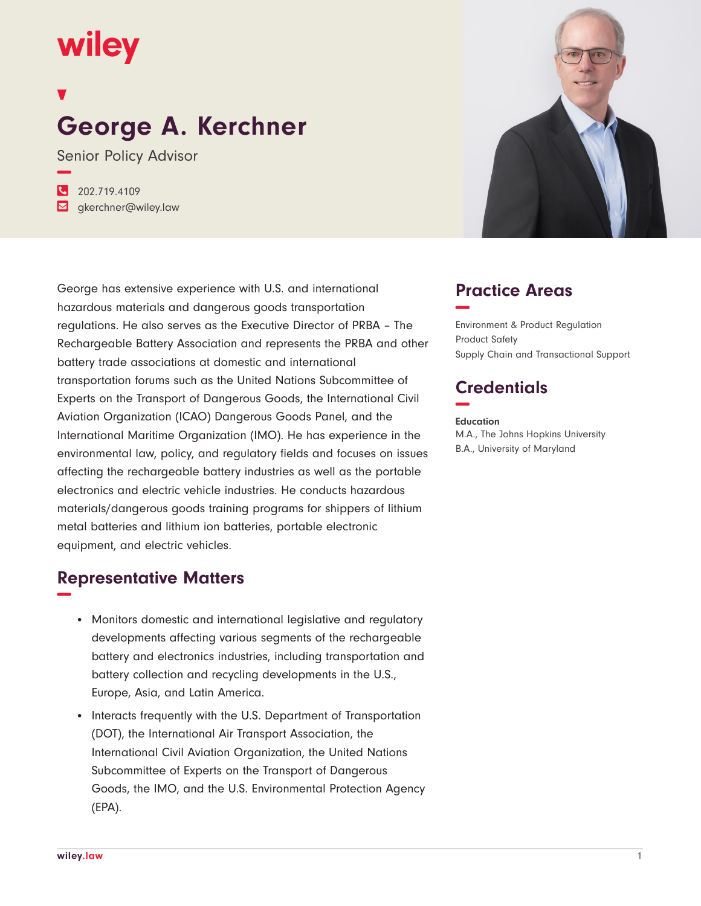# wiley

## **George A. Kerchner**

Senior Policy Advisor **−**

**�** 202.719.4109 **�** gkerchner@wiley.law

George has extensive experience with U.S. and international hazardous materials and dangerous goods transportation regulations. He also serves as the Executive Director of PRBA – The Rechargeable Battery Association and represents the PRBA and other battery trade associations at domestic and international transportation forums such as the United Nations Subcommittee of Experts on the Transport of Dangerous Goods, the International Civil Aviation Organization (ICAO) Dangerous Goods Panel, and the International Maritime Organization (IMO). He has experience in the environmental law, policy, and regulatory fields and focuses on issues affecting the rechargeable battery industries as well as the portable electronics and electric vehicle industries. He conducts hazardous materials/dangerous goods training programs for shippers of lithium metal batteries and lithium ion batteries, portable electronic equipment, and electric vehicles.

### **Representative Matters −**

- Monitors domestic and international legislative and regulatory developments affecting various segments of the rechargeable battery and electronics industries, including transportation and battery collection and recycling developments in the U.S., Europe, Asia, and Latin America.
- Interacts frequently with the U.S. Department of Transportation (DOT), the International Air Transport Association, the International Civil Aviation Organization, the United Nations Subcommittee of Experts on the Transport of Dangerous Goods, the IMO, and the U.S. Environmental Protection Agency (EPA).



### **Practice Areas −**

Environment & Product Regulation Product Safety Supply Chain and Transactional Support

### **Credentials −**

#### **Education**

M.A., The Johns Hopkins University B.A., University of Maryland